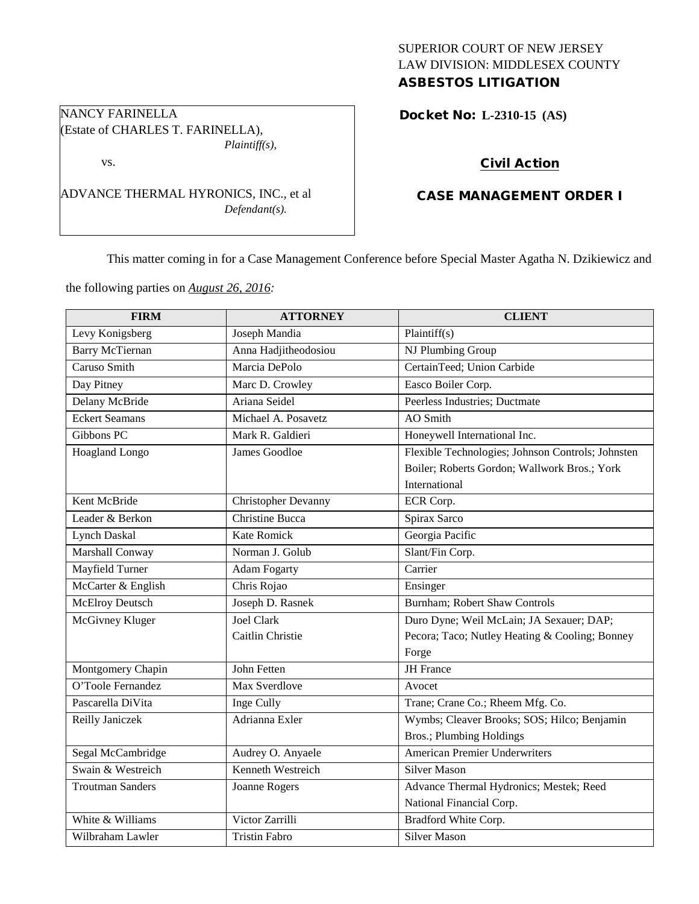## SUPERIOR COURT OF NEW JERSEY LAW DIVISION: MIDDLESEX COUNTY ASBESTOS LITIGATION

Docket No: **L-2310-15 (AS)** 

# Civil Action

# CASE MANAGEMENT ORDER I

This matter coming in for a Case Management Conference before Special Master Agatha N. Dzikiewicz and

the following parties on *August 26, 2016:*

| <b>FIRM</b>             | <b>ATTORNEY</b>        | <b>CLIENT</b>                                     |
|-------------------------|------------------------|---------------------------------------------------|
| Levy Konigsberg         | Joseph Mandia          | Plaintiff $(s)$                                   |
| <b>Barry McTiernan</b>  | Anna Hadjitheodosiou   | NJ Plumbing Group                                 |
| Caruso Smith            | Marcia DePolo          | CertainTeed; Union Carbide                        |
| Day Pitney              | Marc D. Crowley        | Easco Boiler Corp.                                |
| Delany McBride          | Ariana Seidel          | Peerless Industries; Ductmate                     |
| <b>Eckert Seamans</b>   | Michael A. Posavetz    | AO Smith                                          |
| Gibbons PC              | Mark R. Galdieri       | Honeywell International Inc.                      |
| Hoagland Longo          | James Goodloe          | Flexible Technologies; Johnson Controls; Johnsten |
|                         |                        | Boiler; Roberts Gordon; Wallwork Bros.; York      |
|                         |                        | International                                     |
| Kent McBride            | Christopher Devanny    | ECR Corp.                                         |
| Leader & Berkon         | <b>Christine Bucca</b> | Spirax Sarco                                      |
| <b>Lynch Daskal</b>     | <b>Kate Romick</b>     | Georgia Pacific                                   |
| Marshall Conway         | Norman J. Golub        | Slant/Fin Corp.                                   |
| Mayfield Turner         | <b>Adam Fogarty</b>    | Carrier                                           |
| McCarter & English      | Chris Rojao            | Ensinger                                          |
| <b>McElroy Deutsch</b>  | Joseph D. Rasnek       | Burnham; Robert Shaw Controls                     |
| McGivney Kluger         | <b>Joel Clark</b>      | Duro Dyne; Weil McLain; JA Sexauer; DAP;          |
|                         | Caitlin Christie       | Pecora; Taco; Nutley Heating & Cooling; Bonney    |
|                         |                        | Forge                                             |
| Montgomery Chapin       | John Fetten            | <b>JH</b> France                                  |
| O'Toole Fernandez       | Max Sverdlove          | Avocet                                            |
| Pascarella DiVita       | Inge Cully             | Trane; Crane Co.; Rheem Mfg. Co.                  |
| Reilly Janiczek         | Adrianna Exler         | Wymbs; Cleaver Brooks; SOS; Hilco; Benjamin       |
|                         |                        | <b>Bros.</b> ; Plumbing Holdings                  |
| Segal McCambridge       | Audrey O. Anyaele      | <b>American Premier Underwriters</b>              |
| Swain & Westreich       | Kenneth Westreich      | <b>Silver Mason</b>                               |
| <b>Troutman Sanders</b> | Joanne Rogers          | Advance Thermal Hydronics; Mestek; Reed           |
|                         |                        | National Financial Corp.                          |
| White & Williams        | Victor Zarrilli        | Bradford White Corp.                              |
| Wilbraham Lawler        | <b>Tristin Fabro</b>   | <b>Silver Mason</b>                               |

NANCY FARINELLA (Estate of CHARLES T. FARINELLA), *Plaintiff(s),*

vs.

ADVANCE THERMAL HYRONICS, INC., et al *Defendant(s).*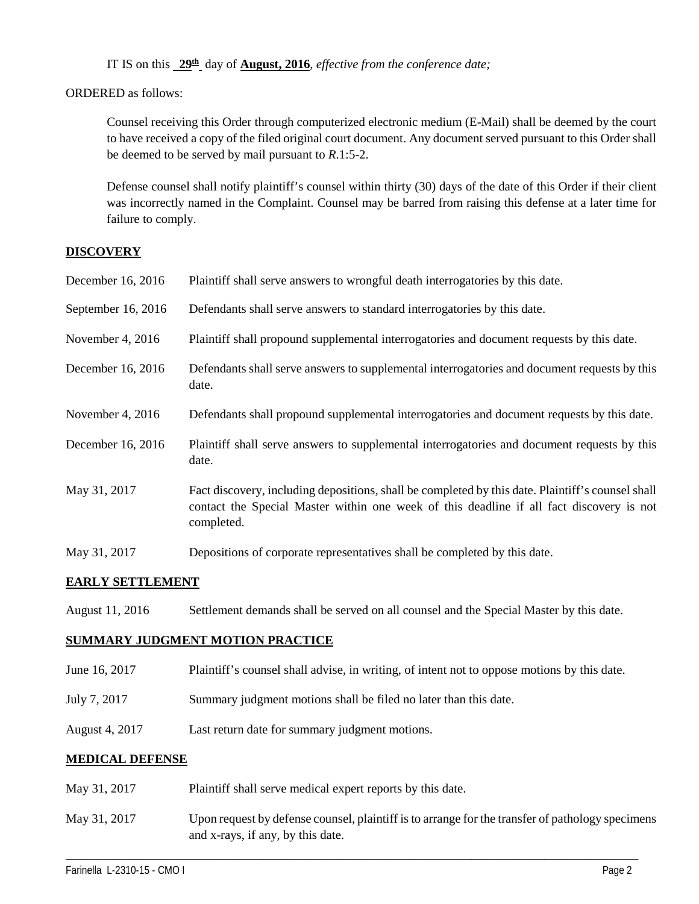IT IS on this **29th** day of **August, 2016**, *effective from the conference date;*

ORDERED as follows:

Counsel receiving this Order through computerized electronic medium (E-Mail) shall be deemed by the court to have received a copy of the filed original court document. Any document served pursuant to this Order shall be deemed to be served by mail pursuant to *R*.1:5-2.

Defense counsel shall notify plaintiff's counsel within thirty (30) days of the date of this Order if their client was incorrectly named in the Complaint. Counsel may be barred from raising this defense at a later time for failure to comply.

#### **DISCOVERY**

| December 16, 2016  | Plaintiff shall serve answers to wrongful death interrogatories by this date.                                                                                                                               |
|--------------------|-------------------------------------------------------------------------------------------------------------------------------------------------------------------------------------------------------------|
| September 16, 2016 | Defendants shall serve answers to standard interrogatories by this date.                                                                                                                                    |
| November 4, $2016$ | Plaintiff shall propound supplemental interrogatories and document requests by this date.                                                                                                                   |
| December 16, 2016  | Defendants shall serve answers to supplemental interrogatories and document requests by this<br>date.                                                                                                       |
| November 4, $2016$ | Defendants shall propound supplemental interrogatories and document requests by this date.                                                                                                                  |
| December 16, 2016  | Plaintiff shall serve answers to supplemental interrogatories and document requests by this<br>date.                                                                                                        |
| May 31, 2017       | Fact discovery, including depositions, shall be completed by this date. Plaintiff's counsel shall<br>contact the Special Master within one week of this deadline if all fact discovery is not<br>completed. |
| May 31, 2017       | Depositions of corporate representatives shall be completed by this date.                                                                                                                                   |

## **EARLY SETTLEMENT**

August 11, 2016 Settlement demands shall be served on all counsel and the Special Master by this date.

## **SUMMARY JUDGMENT MOTION PRACTICE**

- June 16, 2017 Plaintiff's counsel shall advise, in writing, of intent not to oppose motions by this date.
- July 7, 2017 Summary judgment motions shall be filed no later than this date.
- August 4, 2017 Last return date for summary judgment motions.

## **MEDICAL DEFENSE**

- May 31, 2017 Plaintiff shall serve medical expert reports by this date.
- May 31, 2017 Upon request by defense counsel, plaintiff is to arrange for the transfer of pathology specimens and x-rays, if any, by this date.

\_\_\_\_\_\_\_\_\_\_\_\_\_\_\_\_\_\_\_\_\_\_\_\_\_\_\_\_\_\_\_\_\_\_\_\_\_\_\_\_\_\_\_\_\_\_\_\_\_\_\_\_\_\_\_\_\_\_\_\_\_\_\_\_\_\_\_\_\_\_\_\_\_\_\_\_\_\_\_\_\_\_\_\_\_\_\_\_\_\_\_\_\_\_\_\_\_\_\_\_\_\_\_\_\_\_\_\_\_\_